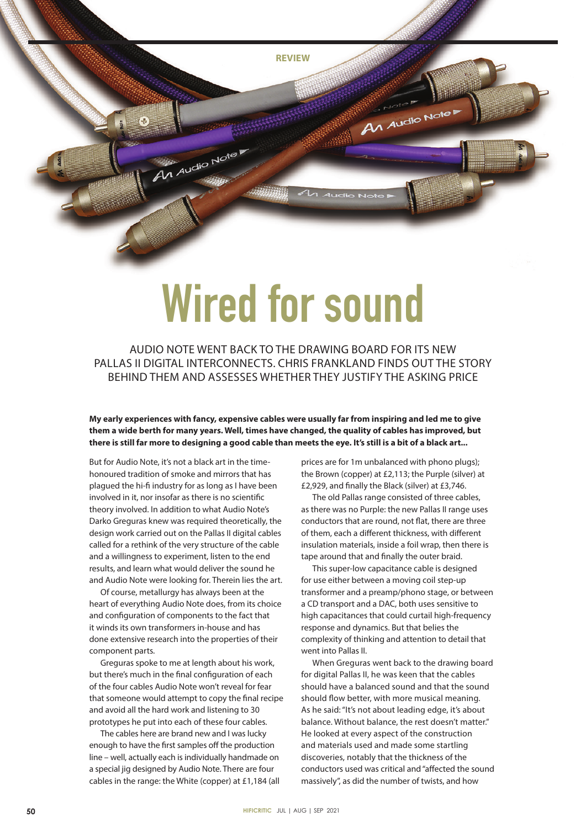# **Wired for sound**

**REVIEW**

AUDIO NOTE WENT BACK TO THE DRAWING BOARD FOR ITS NEW PALLAS II DIGITAL INTERCONNECTS. CHRIS FRANKLAND FINDS OUT THE STORY BEHIND THEM AND ASSESSES WHETHER THEY JUSTIFY THE ASKING PRICE

**My early experiences with fancy, expensive cables were usually far from inspiring and led me to give them a wide berth for many years. Well, times have changed, the quality of cables has improved, but there is still far more to designing a good cable than meets the eye. It's still is a bit of a black art...**

But for Audio Note, it's not a black art in the timehonoured tradition of smoke and mirrors that has plagued the hi-fi industry for as long as I have been involved in it, nor insofar as there is no scientific theory involved. In addition to what Audio Note's Darko Greguras knew was required theoretically, the design work carried out on the Pallas II digital cables called for a rethink of the very structure of the cable and a willingness to experiment, listen to the end results, and learn what would deliver the sound he and Audio Note were looking for. Therein lies the art.

An Audio Note

Of course, metallurgy has always been at the heart of everything Audio Note does, from its choice and configuration of components to the fact that it winds its own transformers in-house and has done extensive research into the properties of their component parts.

Greguras spoke to me at length about his work, but there's much in the final configuration of each of the four cables Audio Note won't reveal for fear that someone would attempt to copy the final recipe and avoid all the hard work and listening to 30 prototypes he put into each of these four cables.

The cables here are brand new and I was lucky enough to have the first samples off the production line – well, actually each is individually handmade on a special jig designed by Audio Note. There are four cables in the range: the White (copper) at £1,184 (all prices are for 1m unbalanced with phono plugs); the Brown (copper) at £2,113; the Purple (silver) at £2,929, and finally the Black (silver) at £3,746.

A Audio Note

The old Pallas range consisted of three cables, as there was no Purple: the new Pallas II range uses conductors that are round, not flat, there are three of them, each a different thickness, with different insulation materials, inside a foil wrap, then there is tape around that and finally the outer braid.

This super-low capacitance cable is designed for use either between a moving coil step-up transformer and a preamp/phono stage, or between a CD transport and a DAC, both uses sensitive to high capacitances that could curtail high-frequency response and dynamics. But that belies the complexity of thinking and attention to detail that went into Pallas II.

When Greguras went back to the drawing board for digital Pallas II, he was keen that the cables should have a balanced sound and that the sound should flow better, with more musical meaning. As he said: "It's not about leading edge, it's about balance. Without balance, the rest doesn't matter." He looked at every aspect of the construction and materials used and made some startling discoveries, notably that the thickness of the conductors used was critical and "affected the sound massively", as did the number of twists, and how